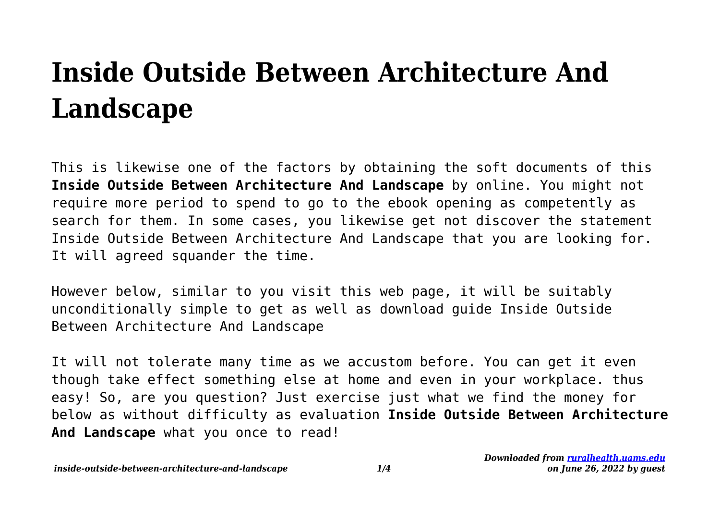# **Inside Outside Between Architecture And Landscape**

This is likewise one of the factors by obtaining the soft documents of this **Inside Outside Between Architecture And Landscape** by online. You might not require more period to spend to go to the ebook opening as competently as search for them. In some cases, you likewise get not discover the statement Inside Outside Between Architecture And Landscape that you are looking for. It will agreed squander the time.

However below, similar to you visit this web page, it will be suitably unconditionally simple to get as well as download guide Inside Outside Between Architecture And Landscape

It will not tolerate many time as we accustom before. You can get it even though take effect something else at home and even in your workplace. thus easy! So, are you question? Just exercise just what we find the money for below as without difficulty as evaluation **Inside Outside Between Architecture And Landscape** what you once to read!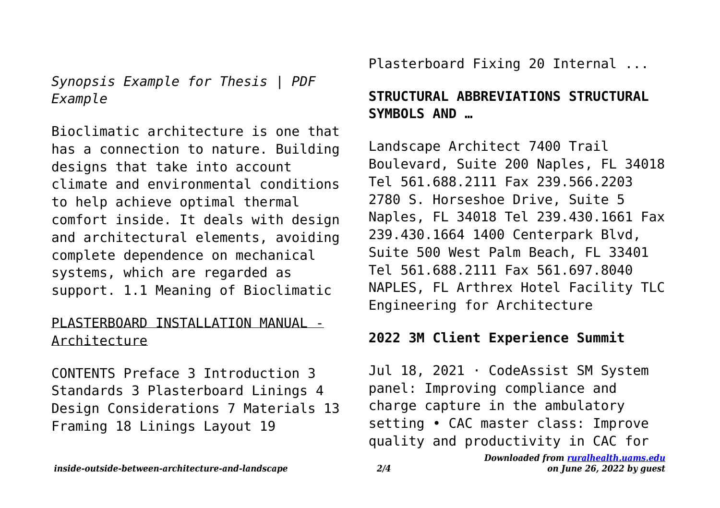*Synopsis Example for Thesis | PDF Example*

Bioclimatic architecture is one that has a connection to nature. Building designs that take into account climate and environmental conditions to help achieve optimal thermal comfort inside. It deals with design and architectural elements, avoiding complete dependence on mechanical systems, which are regarded as support. 1.1 Meaning of Bioclimatic

#### PLASTERBOARD INSTALLATION MANUAL - Architecture

CONTENTS Preface 3 Introduction 3 Standards 3 Plasterboard Linings 4 Design Considerations 7 Materials 13 Framing 18 Linings Layout 19

Plasterboard Fixing 20 Internal ...

# **STRUCTURAL ABBREVIATIONS STRUCTURAL SYMBOLS AND …**

Landscape Architect 7400 Trail Boulevard, Suite 200 Naples, FL 34018 Tel 561.688.2111 Fax 239.566.2203 2780 S. Horseshoe Drive, Suite 5 Naples, FL 34018 Tel 239.430.1661 Fax 239.430.1664 1400 Centerpark Blvd, Suite 500 West Palm Beach, FL 33401 Tel 561.688.2111 Fax 561.697.8040 NAPLES, FL Arthrex Hotel Facility TLC Engineering for Architecture

#### **2022 3M Client Experience Summit**

Jul 18, 2021 · CodeAssist SM System panel: Improving compliance and charge capture in the ambulatory setting • CAC master class: Improve quality and productivity in CAC for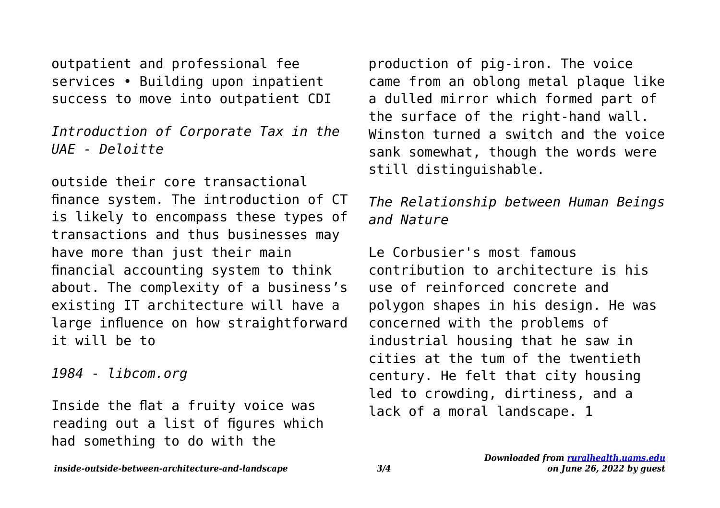outpatient and professional fee services • Building upon inpatient success to move into outpatient CDI

*Introduction of Corporate Tax in the UAE - Deloitte*

outside their core transactional finance system. The introduction of CT is likely to encompass these types of transactions and thus businesses may have more than just their main financial accounting system to think about. The complexity of a business's existing IT architecture will have a large influence on how straightforward it will be to

*1984 - libcom.org*

Inside the flat a fruity voice was reading out a list of figures which had something to do with the

production of pig-iron. The voice came from an oblong metal plaque like a dulled mirror which formed part of the surface of the right-hand wall. Winston turned a switch and the voice sank somewhat, though the words were still distinguishable.

### *The Relationship between Human Beings and Nature*

Le Corbusier's most famous contribution to architecture is his use of reinforced concrete and polygon shapes in his design. He was concerned with the problems of industrial housing that he saw in cities at the tum of the twentieth century. He felt that city housing led to crowding, dirtiness, and a lack of a moral landscape. 1